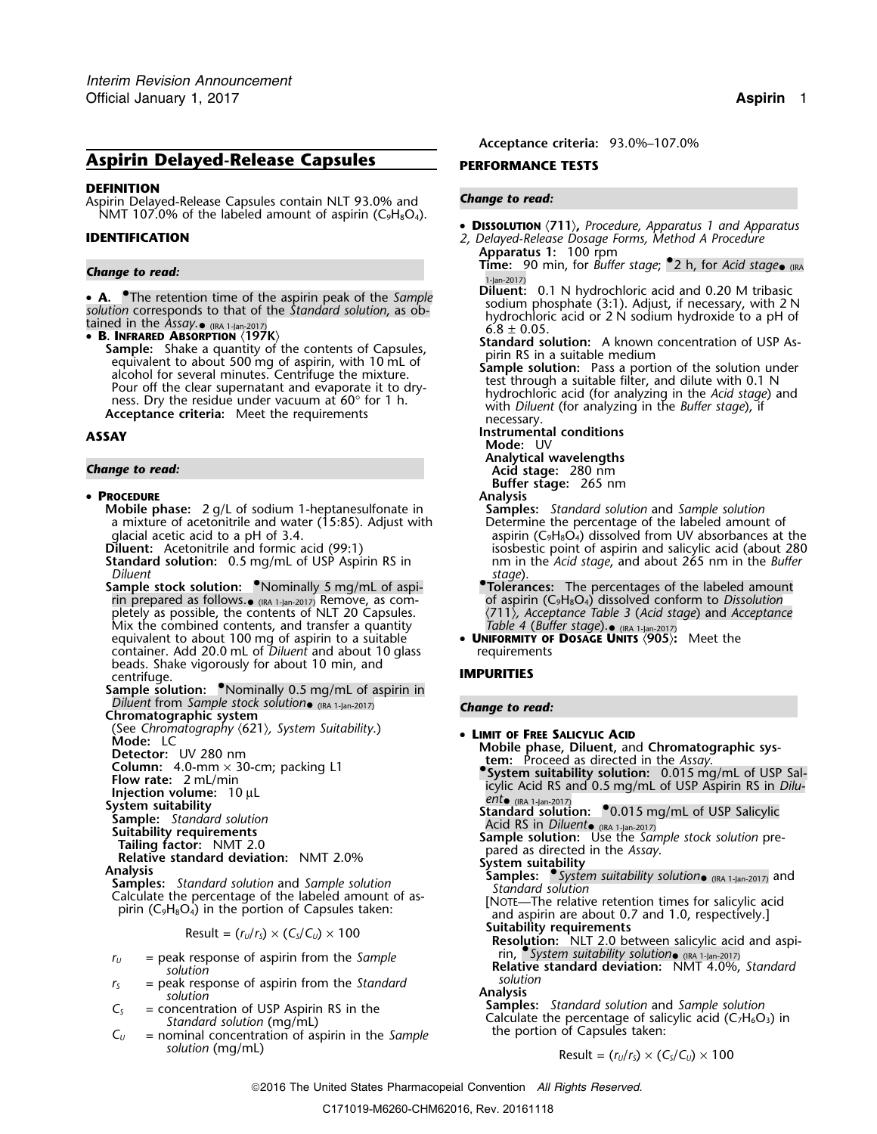# **Aspirin Delayed-Release Capsules <b>PERFORMANCE TESTS**

### **DEFINITION**

Aspirin Delayed-Release Capsules contain NLT 93.0% and *Change to read:* NMT 107.0% of the labeled amount of aspirin ( $C_9H_8O_4$ ).

• **A.** • The retention time of the aspirin peak of the *Sample*<br>
solution corresponds to that of the *Standard solution*, as ob-<br>
tained in the *Assay*. • ((RA 1-Jan-2017)<br>
• **R. INFRARED ARSORPTION** (197K)<br>
• **R. INFRARE** 

• **B. INFRARED ABSORPTION**  $\langle 197K \rangle$ <br> **Sample:** Shake a quantity of the contents of Capsules,<br>
equivalent to about 500 mg of aspirin, with 10 mL of<br>
alcohol for several minutes. Centrifuge the mixture.<br>
Pour off the cle

### • **PROCEDURE Analysis**

- **Mobile phase:** 2 g/L of sodium 1-heptanesulfonate in **Samples:** *Standard solution* and *Sample solution* a mixture of acetonitrile and water (15:85). Adjust with Determine the percentage of the labeled amount of glacial acetic acid to a pH of 3.4.<br>glacial acetic acid to a pH of 3.4.
- 
- *Diluent*<br>**Sample stock solution:** <sup>●</sup>Nominally 5 mg/mL of aspi-<br>Tolerar rin prepared as follows. $_{\bullet}$ Mix the combined contents, and transfer a quantity *Table 4 (Buffer stage*).  $_{\text{en.1}1\text{an-2017}}$ <br>equivalent to about 100 mg of aspirin to a suitable **DINIFORMITY OF DOSAGE UNITS** (905): Meet the **equivalent to about 100 mg of aspirin to a suitable** container. Add 20.0 mL of *Diluent* and about 10 glass requirements beads. Shake vigorously for about 10 min, and centrifuge. **IMPURITIES**

**Sample solution:** Nominally 0.5 mg/mL of aspirin in *Diluent* from *Sample stock solution*• (IRA 1-Jan-2017) *Change to read:* **Chromatographic system**

- Chromatographic system<br>
(See *Chromatography (621)*, *System Suitability*.) **LIMIT OF FREE SALICYLIC ACID**<br>
Mobile phase Diluent and<br>
Mobile phase Diluent and
- 
- 
- 
- 
- 
- 
- 
- 
- 
- 

$$
Result = (r_U/r_S) \times (C_S/C_U) \times 100
$$

- 
- 
- 
- *solution* (mg/mL) Result =  $(r_U/r_S) \times (C_S/C_U) \times 100$

**Acceptance criteria:** 93.0%–107.0%

- •**<sup>D</sup>ISSOLUTION** 〈**711**〉**,** *Procedure, Apparatus 1 and Apparatus* **IDENTIFICATION** *2, Delayed-Release Dosage Forms, Method A Procedure*
- **Apparatus 1:** 100 rpm **Change to read: Time:** 90 min, for *Buffer stage*; •2 h, for *Acid stage*• (IRA **Change to read:** 1-Jan-2017)
- **A.** The retention time of the aspirin peak of the *Sample* **Diluent:** 0.1 N hydrochloric acid and 0.20 M tribasic **A.** The retention time of the *Standard solution* as ob sodium phosphate (3:1). Adjust, if necessary,
	-
	-
	-
- **ASSAY Instrumental conditions**
	- **Mode:** UV
- **Analytical wavelengths** *Change to read:* **Acid stage:** 280 nm
	-
	- **Buffer stage:** 265 nm

- glacial acetic acid to a pH of 3.4. **aspirin (C<sub>9</sub>H<sub>8</sub>O<sub>4</sub>) dissolved from UV absorbances at the<br>Diluent: Acetonitrile and formic acid (99:1) bisosbestic point of aspirin and salicylic acid (about 280** isosbestic point of aspirin and salicylic acid (about 280 **Standard solution:** 0.5 mg/mL of USP Aspirin RS in nm in the *Acid stage*, and about 265 nm in the *Buffer*<br> *Stage*).
- **\*Tolerances:** The percentages of the labeled amount of aspirin (C<sub>9</sub>H<sub>8</sub>O<sub>4</sub>) dissolved conform to *Dissolution*<br>(711), Acceptance Table 3 (Acid stage) and Acceptance pletely as possible, the contents of NLT 20 Capsules. 〈711〉*, Acceptance Table 3* (*Acid stage*) and *Acceptance* Table 4 (Buffer stage).  $\bullet$  (IRA 1-Jan-2017)
	-

- -
- Mobile phase, Diluent, and Chromatographic sys-<br>
Detector: UV 280 nm<br>
Column: 4.0-mm × 30-cm; packing L1<br>
Flow rate: 2 ml /min<br>
Flow rate: 2 ml /min **Flow rate:** 2 mL/min is and 0.5 mg/mL of USP Aspirin RS in *Dilu*-<br> **System suitability**<br>
System suitability solution:<br>
Standard solution: <sup>●</sup>0.015 mg/mL of USP Salicylic
- Sample: Standard solution<br>
Suitability requirements<br>
Tailing factor: NMT 2.0
	-
	-
- Tailing factor: NMT 2.0<br>
Relative standard deviation: NMT 2.0%<br>
Relative standard deviation: NMT 2.0%<br>
Relative standard deviation: NMT 2.0%<br>
Analysis<br>
System suitability solution<br>
Samples: Standard solution and Sample sol
- Calculate the percentage of the labeled amount of as-<br>pirin (C<sub>2</sub>H<sub>8</sub>O<sub>4</sub>) in the portion of Capsules taken:<br>Pesult = (r./r.) × (C./C.) × 100<br>**Suitability requirements** 
	- **Resolution:** NLT 2.0 between salicylic acid and aspi-
	-

 $C_5$  = peak response of aspirin from the Sample<br>
solution<br>
solution<br>
solution<br>
solution<br>
solution<br>
solution<br>
solution<br>
solution<br>
solution<br>
solution<br>
solution<br>
solution<br>
solution<br>
solution<br>
solution<br>
solution<br>
solution<br>
s